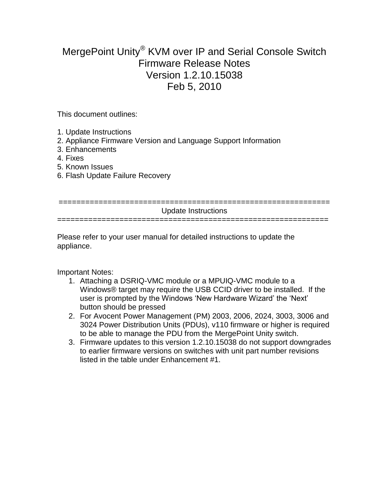## MergePoint Unity® KVM over IP and Serial Console Switch Firmware Release Notes Version 1.2.10.15038 Feb 5, 2010

This document outlines:

- 1. Update Instructions
- 2. Appliance Firmware Version and Language Support Information
- 3. Enhancements
- 4. Fixes
- 5. Known Issues
- 6. Flash Update Failure Recovery

| Update Instructions |
|---------------------|
|                     |
|                     |

Please refer to your user manual for detailed instructions to update the appliance.

Important Notes:

- 1. Attaching a DSRIQ-VMC module or a MPUIQ-VMC module to a Windows® target may require the USB CCID driver to be installed. If the user is prompted by the Windows "New Hardware Wizard" the "Next" button should be pressed
- 2. For Avocent Power Management (PM) 2003, 2006, 2024, 3003, 3006 and 3024 Power Distribution Units (PDUs), v110 firmware or higher is required to be able to manage the PDU from the MergePoint Unity switch.
- 3. Firmware updates to this version 1.2.10.15038 do not support downgrades to earlier firmware versions on switches with unit part number revisions listed in the table under Enhancement #1.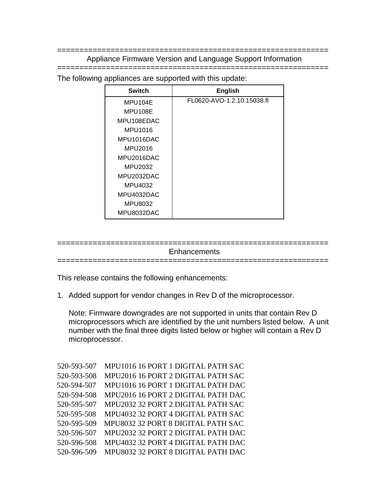============================================================= Appliance Firmware Version and Language Support Information

=============================================================

The following appliances are supported with this update:

| <b>Switch</b> | <b>English</b>             |
|---------------|----------------------------|
| MPU104E       | FL0620-AVO-1.2.10.15038.fl |
| MPU108E       |                            |
| MPU108EDAC    |                            |
| MPU1016       |                            |
| MPU1016DAC    |                            |
| MPU2016       |                            |
| MPU2016DAC    |                            |
| MPU2032       |                            |
| MPU2032DAC    |                            |
| MPU4032       |                            |
| MPU4032DAC    |                            |
| MPU8032       |                            |
| MPU8032DAC    |                            |

## ============================================================= **Enhancements**

=============================================================

This release contains the following enhancements:

1. Added support for vendor changes in Rev D of the microprocessor.

Note: Firmware downgrades are not supported in units that contain Rev D microprocessors which are identified by the unit numbers listed below. A unit number with the final three digits listed below or higher will contain a Rev D microprocessor.

| 520-593-507 | MPU1016 16 PORT 1 DIGITAL PATH SAC |
|-------------|------------------------------------|
| 520-593-508 | MPU2016 16 PORT 2 DIGITAL PATH SAC |
| 520-594-507 | MPU1016 16 PORT 1 DIGITAL PATH DAC |
| 520-594-508 | MPU2016 16 PORT 2 DIGITAL PATH DAC |
| 520-595-507 | MPU2032 32 PORT 2 DIGITAL PATH SAC |
| 520-595-508 | MPU4032 32 PORT 4 DIGITAL PATH SAC |
| 520-595-509 | MPU8032 32 PORT 8 DIGITAL PATH SAC |
| 520-596-507 | MPU2032 32 PORT 2 DIGITAL PATH DAC |
| 520-596-508 | MPU4032 32 PORT 4 DIGITAL PATH DAC |
| 520-596-509 | MPU8032 32 PORT 8 DIGITAL PATH DAC |